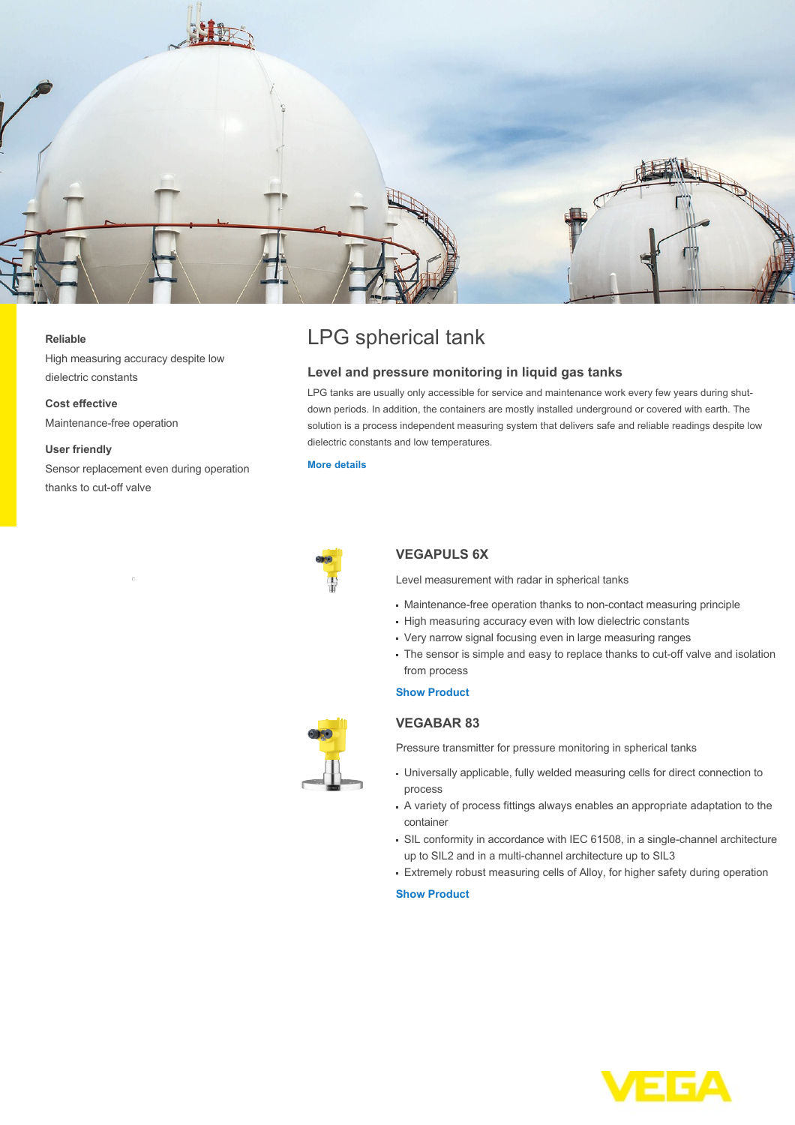

#### **Reliable**

High measuring accuracy despite low dielectric constants

**Cost effective** Maintenance-free operation

#### **User friendly**

Sensor replacement even during operation thanks to cut-off valve

# LPG spherical tank

# **Level and pressure monitoring in liquid gas tanks**

LPG tanks are usually only accessible for service and maintenance work every few years during shutdown periods. In addition, the containers are mostly installed underground or covered with earth. The solution is a process independent measuring system that delivers safe and reliable readings despite low dielectric constants and low temperatures.

#### **[More details](http://localhost/en-us/industries/refining-petrochemical/lpg-spherical-tank)**



## **VEGAPULS 6X**

Level measurement with radar in spherical tanks

- Maintenance-free operation thanks to non-contact measuring principle
- High measuring accuracy even with low dielectric constants
- Very narrow signal focusing even in large measuring ranges
- The sensor is simple and easy to replace thanks to cut-off valve and isolation from process

### **[Show Product](http://localhost/en-us/products/product-catalog/level/radar/vegapuls-6x)**

# **VEGABAR 83**

Pressure transmitter for pressure monitoring in spherical tanks

- Universally applicable, fully welded measuring cells for direct connection to process
- A variety of process fittings always enables an appropriate adaptation to the container
- SIL conformity in accordance with IEC 61508, in a single-channel architecture up to SIL2 and in a multi-channel architecture up to SIL3
- Extremely robust measuring cells of Alloy, for higher safety during operation

## **[Show Product](http://localhost/en-us/products/product-catalog/pressure/process-pressure/vegabar-83)**